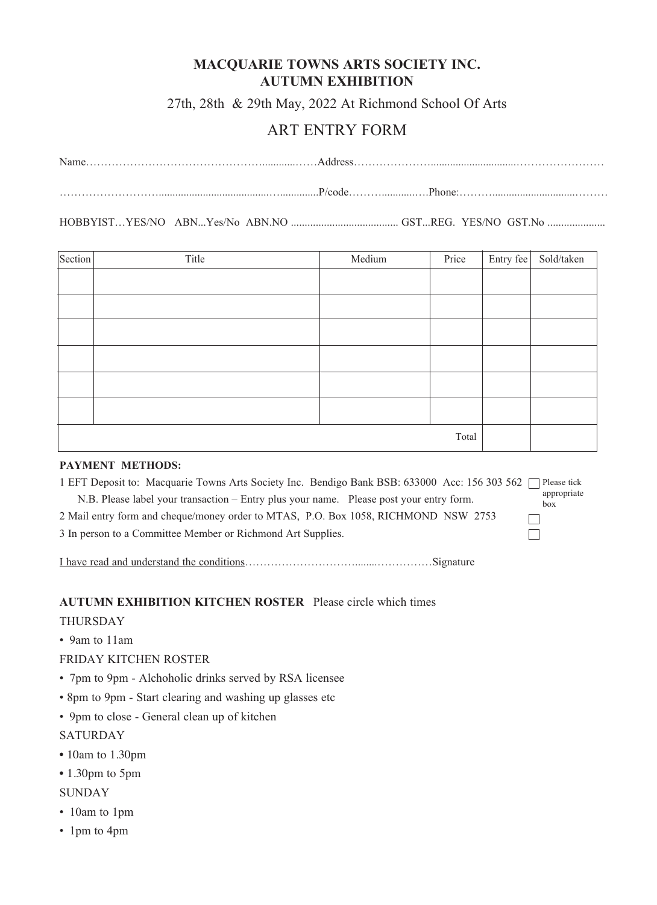# **MACQUARIE TOWNS ARTS SOCIETY INC. AUTUMN EXHIBITION**

27th, 28th & 29th May, 2022 At Richmond School Of Arts

# ART ENTRY FORM

| Name      |  |
|-----------|--|
|           |  |
| $P$ /code |  |

HOBBYIST…YES/NO ABN...Yes/No ABN.NO ....................................... GST...REG. YES/NO GST.No .....................

| Section | Title | Medium | Price | Entry fee | Sold/taken |
|---------|-------|--------|-------|-----------|------------|
|         |       |        |       |           |            |
|         |       |        |       |           |            |
|         |       |        |       |           |            |
|         |       |        |       |           |            |
|         |       |        |       |           |            |
|         |       |        |       |           |            |
|         |       |        |       |           |            |
| Total   |       |        |       |           |            |

#### **PAYMENT METHODS:**

| 1 EFT Deposit to: Macquarie Towns Arts Society Inc. Bendigo Bank BSB: 633000 Acc: 156 303 562 | Please tick        |
|-----------------------------------------------------------------------------------------------|--------------------|
| N.B. Please label your transaction – Entry plus your name. Please post your entry form.       | appropriate<br>box |
| 2 Mail entry form and cheque/money order to MTAS, P.O. Box 1058, RICHMOND NSW 2753            |                    |
| 3 In person to a Committee Member or Richmond Art Supplies.                                   |                    |
|                                                                                               |                    |

I have read and understand the conditions…………………………........……………Signature

### **AUTUMN EXHIBITION KITCHEN ROSTER** Please circle which times

#### THURSDAY

• 9am to 11am

#### FRIDAY KITCHEN ROSTER

- 7pm to 9pm Alchoholic drinks served by RSA licensee
- 8pm to 9pm Start clearing and washing up glasses etc
- 9pm to close General clean up of kitchen

#### SATURDAY

- 10am to 1.30pm
- 1.30pm to 5pm

### **SUNDAY**

- 10am to 1pm
- 1pm to 4pm